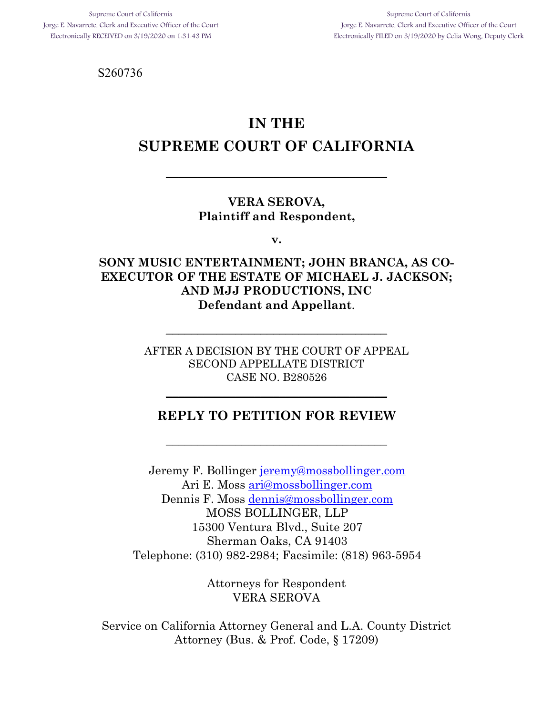Supreme Court of California Jorge E. Navarrete, Clerk and Executive Officer of the Court Electronically FILED on 3/19/2020 by Celia Wong, Deputy Clerk

S260736

# **IN THE SUPREME COURT OF CALIFORNIA**

\_\_\_\_\_\_\_\_\_\_\_\_\_\_\_\_\_\_\_\_\_\_\_\_\_\_\_\_\_\_\_\_\_\_\_

#### **VERA SEROVA, Plaintiff and Respondent,**

**v.**

### **SONY MUSIC ENTERTAINMENT; JOHN BRANCA, AS CO-EXECUTOR OF THE ESTATE OF MICHAEL J. JACKSON; AND MJJ PRODUCTIONS, INC Defendant and Appellant**.

AFTER A DECISION BY THE COURT OF APPEAL SECOND APPELLATE DISTRICT CASE NO. B280526

 $\overline{\phantom{a}}$  , where  $\overline{\phantom{a}}$  , where  $\overline{\phantom{a}}$  , where  $\overline{\phantom{a}}$ 

### **REPLY TO PETITION FOR REVIEW**

\_\_\_\_\_\_\_\_\_\_\_\_\_\_\_\_\_\_\_\_\_\_\_\_\_\_\_\_\_\_\_\_\_\_\_

\_\_\_\_\_\_\_\_\_\_\_\_\_\_\_\_\_\_\_\_\_\_\_\_\_\_\_\_\_\_\_\_\_\_\_

Jeremy F. Bollinger jeremy@mossbollinger.com Ari E. Moss ari@mossbollinger.com Dennis F. Moss dennis@mossbollinger.com MOSS BOLLINGER, LLP 15300 Ventura Blvd., Suite 207 Sherman Oaks, CA 91403 Telephone: (310) 982-2984; Facsimile: (818) 963-5954

> Attorneys for Respondent VERA SEROVA

Service on California Attorney General and L.A. County District Attorney (Bus. & Prof. Code, § 17209)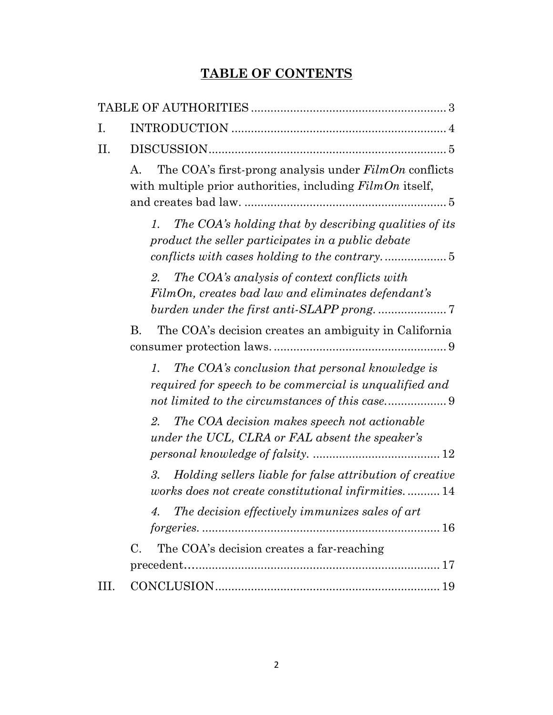## **TABLE OF CONTENTS**

| Ι.   |                                                                                                                              |
|------|------------------------------------------------------------------------------------------------------------------------------|
| H.   |                                                                                                                              |
|      | The COA's first-prong analysis under $FilmOn$ conflicts<br>А.<br>with multiple prior authorities, including $FilmOn$ itself, |
|      | The COA's holding that by describing qualities of its<br>1.<br>product the seller participates in a public debate            |
|      | The COA's analysis of context conflicts with<br>2.<br>FilmOn, creates bad law and eliminates defendant's                     |
|      | The COA's decision creates an ambiguity in California<br>Β.                                                                  |
|      | The COA's conclusion that personal knowledge is<br>1.<br>required for speech to be commercial is unqualified and             |
|      | The COA decision makes speech not actionable<br>2.<br>under the UCL, CLRA or FAL absent the speaker's                        |
|      | Holding sellers liable for false attribution of creative<br>3.<br>works does not create constitutional infirmities 14        |
|      | The decision effectively immunizes sales of art<br>4.                                                                        |
|      | $\mathcal{C}$ .<br>The COA's decision creates a far-reaching                                                                 |
| III. |                                                                                                                              |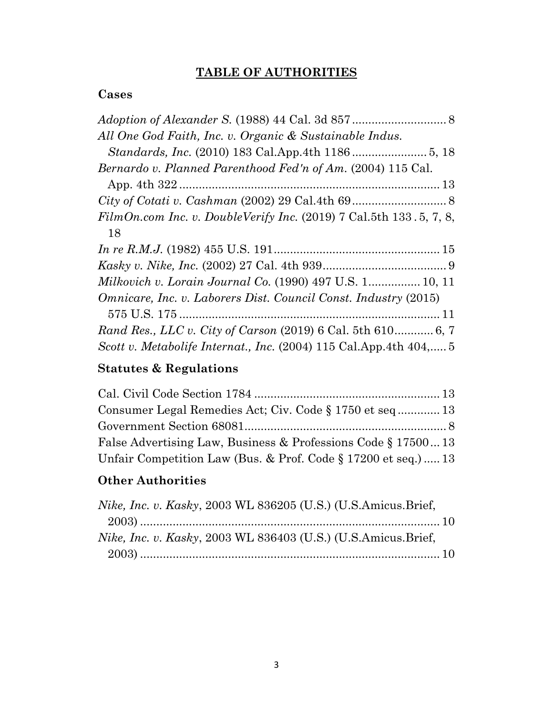## **TABLE OF AUTHORITIES**

### **Cases**

## **Statutes & Regulations**

| Consumer Legal Remedies Act; Civ. Code § 1750 et seq  13       |  |
|----------------------------------------------------------------|--|
|                                                                |  |
| False Advertising Law, Business & Professions Code § 1750013   |  |
| Unfair Competition Law (Bus. & Prof. Code § 17200 et seq.)  13 |  |

## **Other Authorities**

| <i>Nike, Inc. v. Kasky, 2003 WL 836205 (U.S.) (U.S.Amicus.Brief,</i> |  |
|----------------------------------------------------------------------|--|
|                                                                      |  |
| Nike, Inc. v. Kasky, 2003 WL 836403 (U.S.) (U.S.Amicus.Brief.        |  |
|                                                                      |  |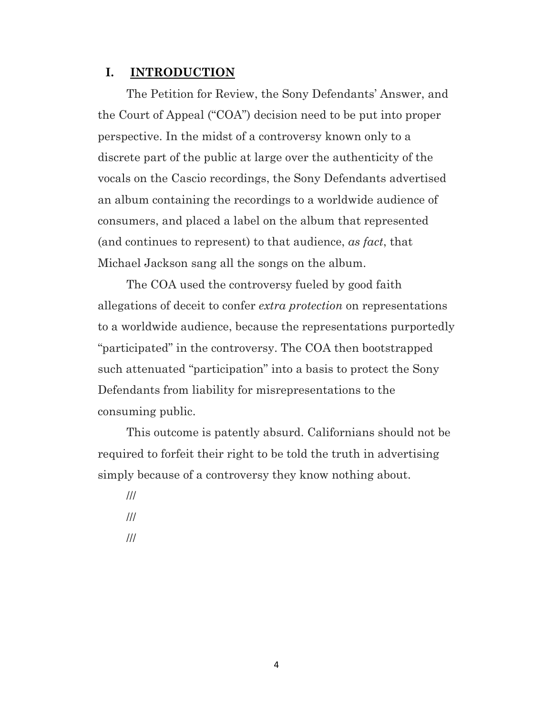#### **I. INTRODUCTION**

The Petition for Review, the Sony Defendants' Answer, and the Court of Appeal ("COA") decision need to be put into proper perspective. In the midst of a controversy known only to a discrete part of the public at large over the authenticity of the vocals on the Cascio recordings, the Sony Defendants advertised an album containing the recordings to a worldwide audience of consumers, and placed a label on the album that represented (and continues to represent) to that audience, *as fact*, that Michael Jackson sang all the songs on the album.

The COA used the controversy fueled by good faith allegations of deceit to confer *extra protection* on representations to a worldwide audience, because the representations purportedly "participated" in the controversy. The COA then bootstrapped such attenuated "participation" into a basis to protect the Sony Defendants from liability for misrepresentations to the consuming public.

This outcome is patently absurd. Californians should not be required to forfeit their right to be told the truth in advertising simply because of a controversy they know nothing about.

/// /// ///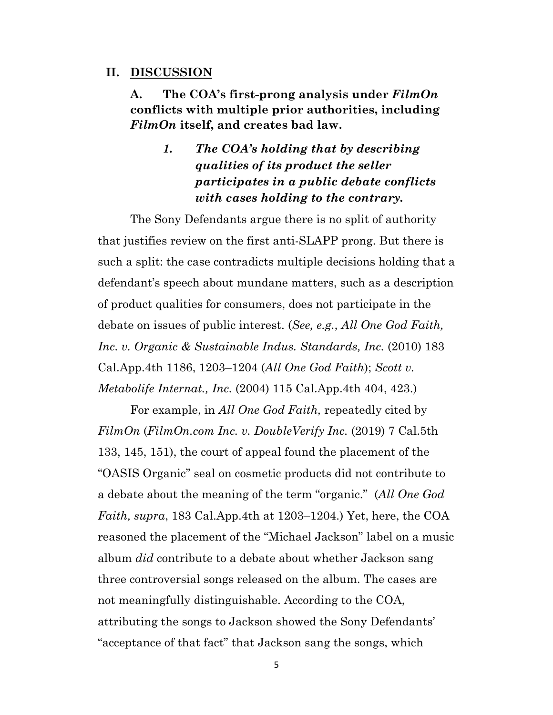#### **II. DISCUSSION**

**A. The COA's first-prong analysis under** *FilmOn* **conflicts with multiple prior authorities, including** *FilmOn* **itself, and creates bad law.**

> *1. The COA's holding that by describing qualities of its product the seller participates in a public debate conflicts with cases holding to the contrary.*

The Sony Defendants argue there is no split of authority that justifies review on the first anti-SLAPP prong. But there is such a split: the case contradicts multiple decisions holding that a defendant's speech about mundane matters, such as a description of product qualities for consumers, does not participate in the debate on issues of public interest. (*See, e.g.*, *All One God Faith, Inc. v. Organic & Sustainable Indus. Standards, Inc.* (2010) 183 Cal.App.4th 1186, 1203–1204 (*All One God Faith*); *Scott v. Metabolife Internat., Inc.* (2004) 115 Cal.App.4th 404, 423.)

For example, in *All One God Faith,* repeatedly cited by *FilmOn* (*FilmOn.com Inc. v. DoubleVerify Inc.* (2019) 7 Cal.5th 133, 145, 151), the court of appeal found the placement of the "OASIS Organic" seal on cosmetic products did not contribute to a debate about the meaning of the term "organic." (*All One God Faith, supra*, 183 Cal.App.4th at 1203–1204.) Yet, here, the COA reasoned the placement of the "Michael Jackson" label on a music album *did* contribute to a debate about whether Jackson sang three controversial songs released on the album. The cases are not meaningfully distinguishable. According to the COA, attributing the songs to Jackson showed the Sony Defendants' "acceptance of that fact" that Jackson sang the songs, which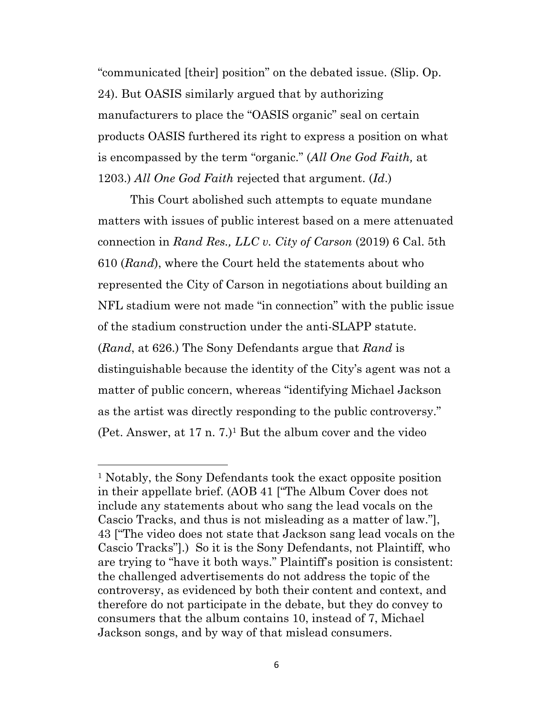"communicated [their] position" on the debated issue. (Slip. Op. 24). But OASIS similarly argued that by authorizing manufacturers to place the "OASIS organic" seal on certain products OASIS furthered its right to express a position on what is encompassed by the term "organic." (*All One God Faith,* at 1203.) *All One God Faith* rejected that argument. (*Id*.)

This Court abolished such attempts to equate mundane matters with issues of public interest based on a mere attenuated connection in *Rand Res., LLC v. City of Carson* (2019) 6 Cal. 5th 610 (*Rand*), where the Court held the statements about who represented the City of Carson in negotiations about building an NFL stadium were not made "in connection" with the public issue of the stadium construction under the anti-SLAPP statute. (*Rand*, at 626.) The Sony Defendants argue that *Rand* is distinguishable because the identity of the City's agent was not a matter of public concern, whereas "identifying Michael Jackson as the artist was directly responding to the public controversy." (Pet. Answer, at  $17$  n.  $7$ .)<sup>1</sup> But the album cover and the video

<sup>1</sup> Notably, the Sony Defendants took the exact opposite position in their appellate brief. (AOB 41 ["The Album Cover does not include any statements about who sang the lead vocals on the Cascio Tracks, and thus is not misleading as a matter of law."], 43 ["The video does not state that Jackson sang lead vocals on the Cascio Tracks"].) So it is the Sony Defendants, not Plaintiff, who are trying to "have it both ways." Plaintiff's position is consistent: the challenged advertisements do not address the topic of the controversy, as evidenced by both their content and context, and therefore do not participate in the debate, but they do convey to consumers that the album contains 10, instead of 7, Michael Jackson songs, and by way of that mislead consumers.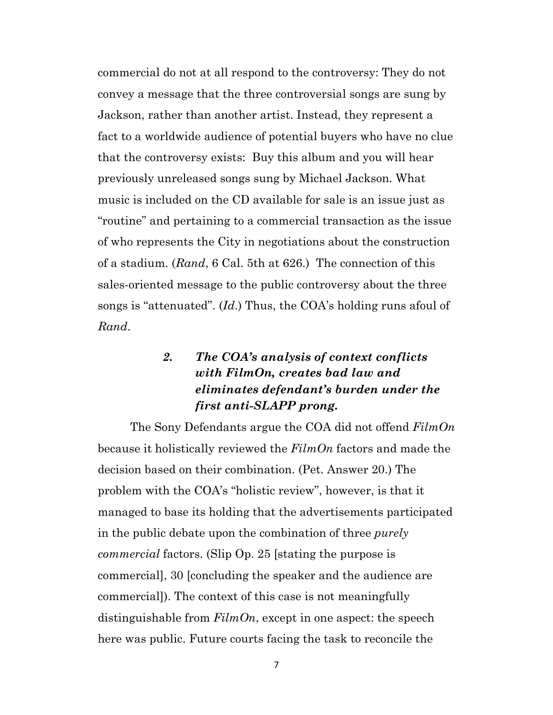commercial do not at all respond to the controversy: They do not convey a message that the three controversial songs are sung by Jackson, rather than another artist. Instead, they represent a fact to a worldwide audience of potential buyers who have no clue that the controversy exists: Buy this album and you will hear previously unreleased songs sung by Michael Jackson. What music is included on the CD available for sale is an issue just as "routine" and pertaining to a commercial transaction as the issue of who represents the City in negotiations about the construction of a stadium. (*Rand*, 6 Cal. 5th at 626.) The connection of this sales-oriented message to the public controversy about the three songs is "attenuated". (*Id*.) Thus, the COA's holding runs afoul of *Rand*.

## *2. The COA's analysis of context conflicts with FilmOn, creates bad law and eliminates defendant's burden under the first anti-SLAPP prong.*

The Sony Defendants argue the COA did not offend *FilmOn* because it holistically reviewed the *FilmOn* factors and made the decision based on their combination. (Pet. Answer 20.) The problem with the COA's "holistic review", however, is that it managed to base its holding that the advertisements participated in the public debate upon the combination of three *purely commercial* factors. (Slip Op. 25 [stating the purpose is commercial], 30 [concluding the speaker and the audience are commercial]). The context of this case is not meaningfully distinguishable from *FilmOn*, except in one aspect: the speech here was public. Future courts facing the task to reconcile the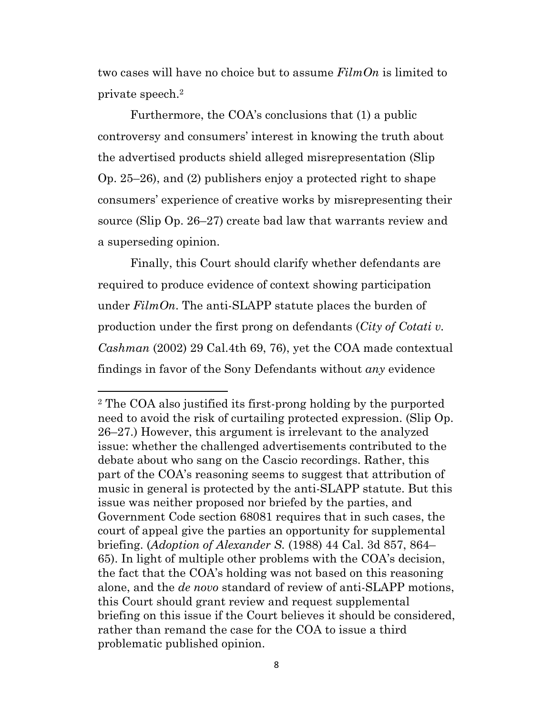two cases will have no choice but to assume *FilmOn* is limited to private speech.2

Furthermore, the COA's conclusions that (1) a public controversy and consumers' interest in knowing the truth about the advertised products shield alleged misrepresentation (Slip Op. 25–26), and (2) publishers enjoy a protected right to shape consumers' experience of creative works by misrepresenting their source (Slip Op. 26–27) create bad law that warrants review and a superseding opinion.

Finally, this Court should clarify whether defendants are required to produce evidence of context showing participation under *FilmOn*. The anti-SLAPP statute places the burden of production under the first prong on defendants (*City of Cotati v. Cashman* (2002) 29 Cal.4th 69, 76), yet the COA made contextual findings in favor of the Sony Defendants without *any* evidence

<sup>2</sup> The COA also justified its first-prong holding by the purported need to avoid the risk of curtailing protected expression. (Slip Op. 26–27.) However, this argument is irrelevant to the analyzed issue: whether the challenged advertisements contributed to the debate about who sang on the Cascio recordings. Rather, this part of the COA's reasoning seems to suggest that attribution of music in general is protected by the anti-SLAPP statute. But this issue was neither proposed nor briefed by the parties, and Government Code section 68081 requires that in such cases, the court of appeal give the parties an opportunity for supplemental briefing. (*Adoption of Alexander S.* (1988) 44 Cal. 3d 857, 864– 65). In light of multiple other problems with the COA's decision, the fact that the COA's holding was not based on this reasoning alone, and the *de novo* standard of review of anti-SLAPP motions, this Court should grant review and request supplemental briefing on this issue if the Court believes it should be considered, rather than remand the case for the COA to issue a third problematic published opinion.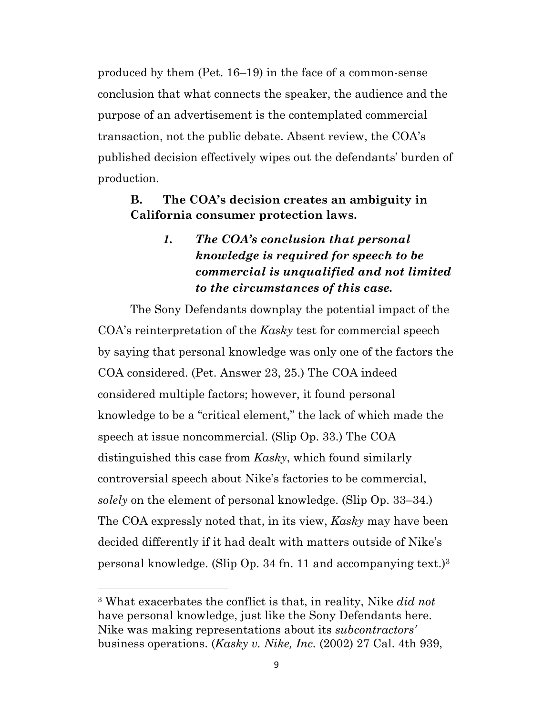produced by them (Pet. 16–19) in the face of a common-sense conclusion that what connects the speaker, the audience and the purpose of an advertisement is the contemplated commercial transaction, not the public debate. Absent review, the COA's published decision effectively wipes out the defendants' burden of production.

### **B. The COA's decision creates an ambiguity in California consumer protection laws.**

## *1. The COA's conclusion that personal knowledge is required for speech to be commercial is unqualified and not limited to the circumstances of this case.*

The Sony Defendants downplay the potential impact of the COA's reinterpretation of the *Kasky* test for commercial speech by saying that personal knowledge was only one of the factors the COA considered. (Pet. Answer 23, 25.) The COA indeed considered multiple factors; however, it found personal knowledge to be a "critical element," the lack of which made the speech at issue noncommercial. (Slip Op. 33.) The COA distinguished this case from *Kasky*, which found similarly controversial speech about Nike's factories to be commercial, *solely* on the element of personal knowledge. (Slip Op. 33–34.) The COA expressly noted that, in its view, *Kasky* may have been decided differently if it had dealt with matters outside of Nike's personal knowledge. (Slip Op. 34 fn. 11 and accompanying text.)3

<sup>3</sup> What exacerbates the conflict is that, in reality, Nike *did not* have personal knowledge, just like the Sony Defendants here. Nike was making representations about its *subcontractors'* business operations. (*Kasky v. Nike, Inc.* (2002) 27 Cal. 4th 939,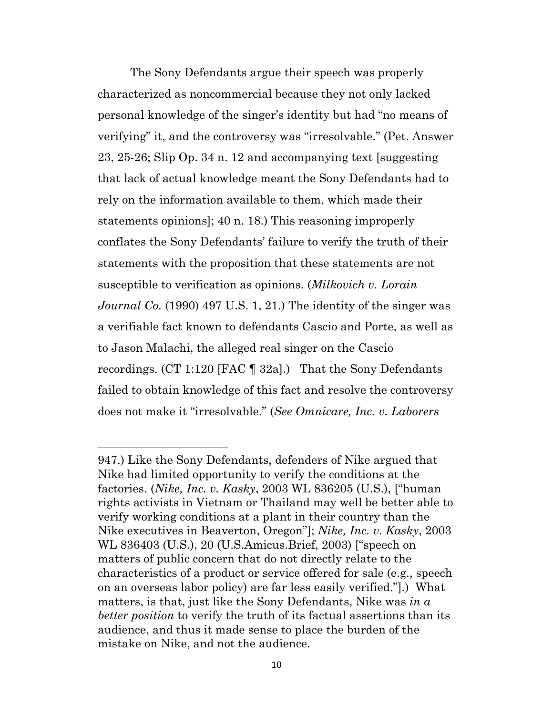The Sony Defendants argue their speech was properly characterized as noncommercial because they not only lacked personal knowledge of the singer's identity but had "no means of verifying" it, and the controversy was "irresolvable." (Pet. Answer 23, 25-26; Slip Op. 34 n. 12 and accompanying text [suggesting that lack of actual knowledge meant the Sony Defendants had to rely on the information available to them, which made their statements opinions]; 40 n. 18.) This reasoning improperly conflates the Sony Defendants' failure to verify the truth of their statements with the proposition that these statements are not susceptible to verification as opinions. (*Milkovich v. Lorain Journal Co.* (1990) 497 U.S. 1, 21.) The identity of the singer was a verifiable fact known to defendants Cascio and Porte, as well as to Jason Malachi, the alleged real singer on the Cascio recordings. (CT 1:120 [FAC ¶ 32a].) That the Sony Defendants failed to obtain knowledge of this fact and resolve the controversy does not make it "irresolvable." (*See Omnicare, Inc. v. Laborers* 

<sup>947.)</sup> Like the Sony Defendants, defenders of Nike argued that Nike had limited opportunity to verify the conditions at the factories. (*Nike, Inc. v. Kasky*, 2003 WL 836205 (U.S.), ["human rights activists in Vietnam or Thailand may well be better able to verify working conditions at a plant in their country than the Nike executives in Beaverton, Oregon"]; *Nike, Inc. v. Kasky*, 2003 WL 836403 (U.S.), 20 (U.S.Amicus.Brief, 2003) ["speech on matters of public concern that do not directly relate to the characteristics of a product or service offered for sale (e.g., speech on an overseas labor policy) are far less easily verified."].) What matters, is that, just like the Sony Defendants, Nike was *in a better position* to verify the truth of its factual assertions than its audience, and thus it made sense to place the burden of the mistake on Nike, and not the audience.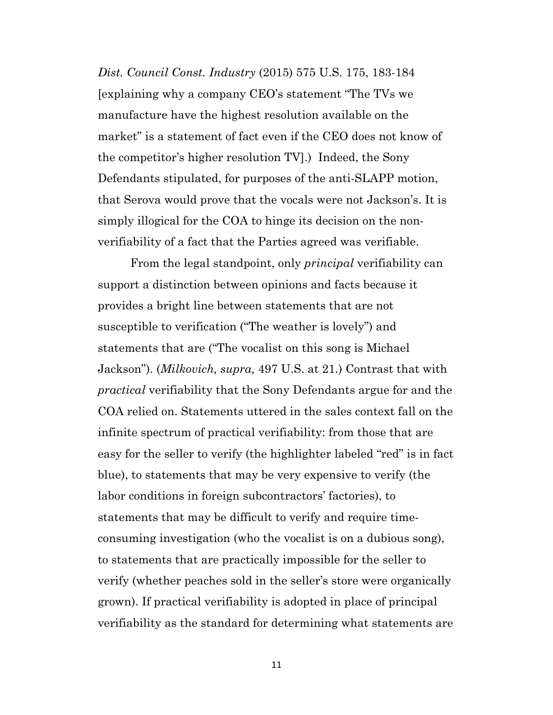*Dist. Council Const. Industry* (2015) 575 U.S. 175, 183-184 [explaining why a company CEO's statement "The TVs we manufacture have the highest resolution available on the market" is a statement of fact even if the CEO does not know of the competitor's higher resolution TV].) Indeed, the Sony Defendants stipulated, for purposes of the anti-SLAPP motion, that Serova would prove that the vocals were not Jackson's. It is simply illogical for the COA to hinge its decision on the nonverifiability of a fact that the Parties agreed was verifiable.

From the legal standpoint, only *principal* verifiability can support a distinction between opinions and facts because it provides a bright line between statements that are not susceptible to verification ("The weather is lovely") and statements that are ("The vocalist on this song is Michael Jackson"). (*Milkovich, supra,* 497 U.S. at 21.) Contrast that with *practical* verifiability that the Sony Defendants argue for and the COA relied on. Statements uttered in the sales context fall on the infinite spectrum of practical verifiability: from those that are easy for the seller to verify (the highlighter labeled "red" is in fact blue), to statements that may be very expensive to verify (the labor conditions in foreign subcontractors' factories), to statements that may be difficult to verify and require timeconsuming investigation (who the vocalist is on a dubious song), to statements that are practically impossible for the seller to verify (whether peaches sold in the seller's store were organically grown). If practical verifiability is adopted in place of principal verifiability as the standard for determining what statements are

11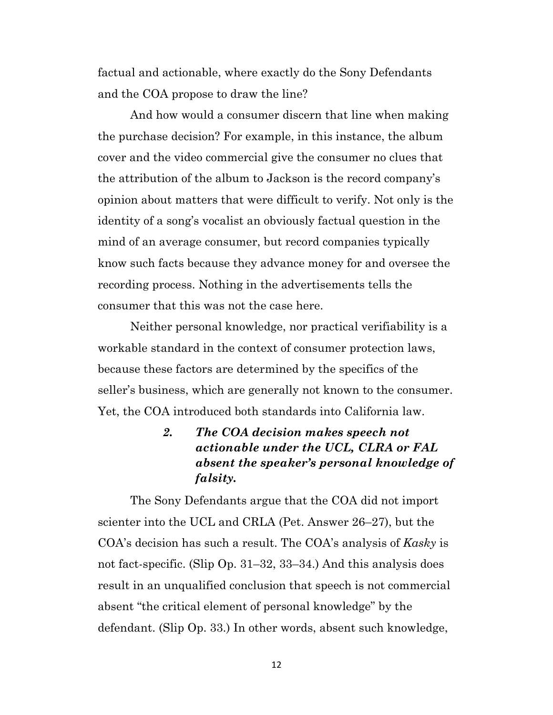factual and actionable, where exactly do the Sony Defendants and the COA propose to draw the line?

And how would a consumer discern that line when making the purchase decision? For example, in this instance, the album cover and the video commercial give the consumer no clues that the attribution of the album to Jackson is the record company's opinion about matters that were difficult to verify. Not only is the identity of a song's vocalist an obviously factual question in the mind of an average consumer, but record companies typically know such facts because they advance money for and oversee the recording process. Nothing in the advertisements tells the consumer that this was not the case here.

Neither personal knowledge, nor practical verifiability is a workable standard in the context of consumer protection laws, because these factors are determined by the specifics of the seller's business, which are generally not known to the consumer. Yet, the COA introduced both standards into California law.

## *2. The COA decision makes speech not actionable under the UCL, CLRA or FAL absent the speaker's personal knowledge of falsity.*

The Sony Defendants argue that the COA did not import scienter into the UCL and CRLA (Pet. Answer 26–27), but the COA's decision has such a result. The COA's analysis of *Kasky* is not fact-specific. (Slip Op. 31–32, 33–34.) And this analysis does result in an unqualified conclusion that speech is not commercial absent "the critical element of personal knowledge" by the defendant. (Slip Op. 33.) In other words, absent such knowledge,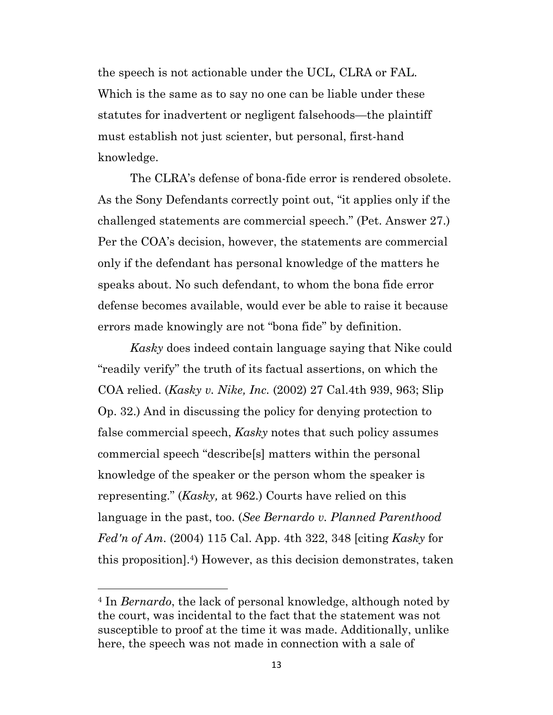the speech is not actionable under the UCL, CLRA or FAL. Which is the same as to say no one can be liable under these statutes for inadvertent or negligent falsehoods—the plaintiff must establish not just scienter, but personal, first-hand knowledge.

The CLRA's defense of bona-fide error is rendered obsolete. As the Sony Defendants correctly point out, "it applies only if the challenged statements are commercial speech." (Pet. Answer 27.) Per the COA's decision, however, the statements are commercial only if the defendant has personal knowledge of the matters he speaks about. No such defendant, to whom the bona fide error defense becomes available, would ever be able to raise it because errors made knowingly are not "bona fide" by definition.

*Kasky* does indeed contain language saying that Nike could "readily verify" the truth of its factual assertions, on which the COA relied. (*Kasky v. Nike, Inc.* (2002) 27 Cal.4th 939, 963; Slip Op. 32.) And in discussing the policy for denying protection to false commercial speech, *Kasky* notes that such policy assumes commercial speech "describe[s] matters within the personal knowledge of the speaker or the person whom the speaker is representing." (*Kasky,* at 962.) Courts have relied on this language in the past, too. (*See Bernardo v. Planned Parenthood Fed'n of Am.* (2004) 115 Cal. App. 4th 322, 348 [citing *Kasky* for this proposition].4) However, as this decision demonstrates, taken

<sup>4</sup> In *Bernardo*, the lack of personal knowledge, although noted by the court, was incidental to the fact that the statement was not susceptible to proof at the time it was made. Additionally, unlike here, the speech was not made in connection with a sale of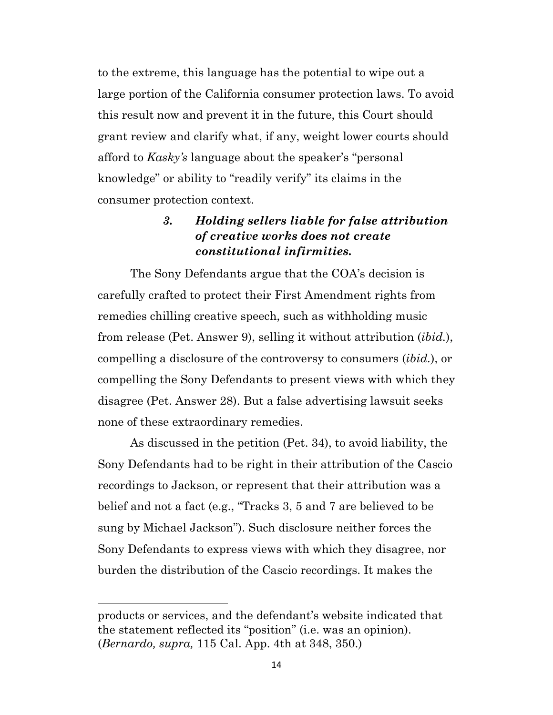to the extreme, this language has the potential to wipe out a large portion of the California consumer protection laws. To avoid this result now and prevent it in the future, this Court should grant review and clarify what, if any, weight lower courts should afford to *Kasky's* language about the speaker's "personal knowledge" or ability to "readily verify" its claims in the consumer protection context.

### *3. Holding sellers liable for false attribution of creative works does not create constitutional infirmities.*

The Sony Defendants argue that the COA's decision is carefully crafted to protect their First Amendment rights from remedies chilling creative speech, such as withholding music from release (Pet. Answer 9), selling it without attribution (*ibid.*), compelling a disclosure of the controversy to consumers (*ibid.*), or compelling the Sony Defendants to present views with which they disagree (Pet. Answer 28). But a false advertising lawsuit seeks none of these extraordinary remedies.

As discussed in the petition (Pet. 34), to avoid liability, the Sony Defendants had to be right in their attribution of the Cascio recordings to Jackson, or represent that their attribution was a belief and not a fact (e.g., "Tracks 3, 5 and 7 are believed to be sung by Michael Jackson"). Such disclosure neither forces the Sony Defendants to express views with which they disagree, nor burden the distribution of the Cascio recordings. It makes the

products or services, and the defendant's website indicated that the statement reflected its "position" (i.e. was an opinion). (*Bernardo, supra,* 115 Cal. App. 4th at 348, 350.)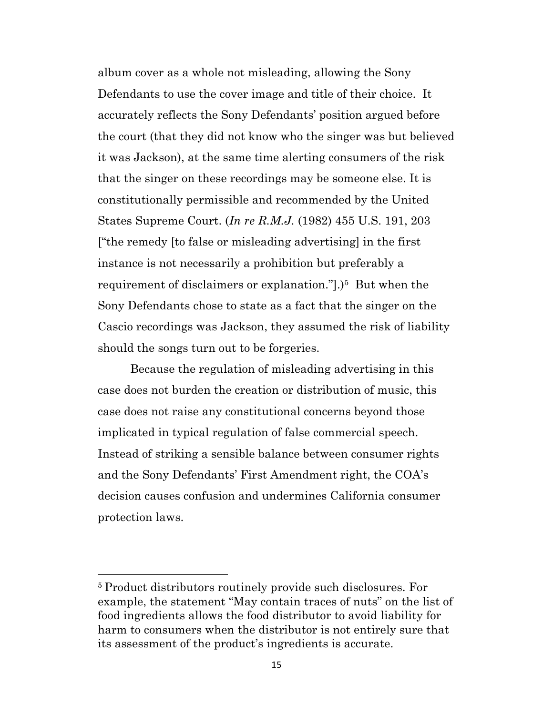album cover as a whole not misleading, allowing the Sony Defendants to use the cover image and title of their choice. It accurately reflects the Sony Defendants' position argued before the court (that they did not know who the singer was but believed it was Jackson), at the same time alerting consumers of the risk that the singer on these recordings may be someone else. It is constitutionally permissible and recommended by the United States Supreme Court. (*In re R.M.J.* (1982) 455 U.S. 191, 203 ["the remedy [to false or misleading advertising] in the first instance is not necessarily a prohibition but preferably a requirement of disclaimers or explanation."[1].)<sup>5</sup> But when the Sony Defendants chose to state as a fact that the singer on the Cascio recordings was Jackson, they assumed the risk of liability should the songs turn out to be forgeries.

Because the regulation of misleading advertising in this case does not burden the creation or distribution of music, this case does not raise any constitutional concerns beyond those implicated in typical regulation of false commercial speech. Instead of striking a sensible balance between consumer rights and the Sony Defendants' First Amendment right, the COA's decision causes confusion and undermines California consumer protection laws.

<sup>5</sup> Product distributors routinely provide such disclosures. For example, the statement "May contain traces of nuts" on the list of food ingredients allows the food distributor to avoid liability for harm to consumers when the distributor is not entirely sure that its assessment of the product's ingredients is accurate.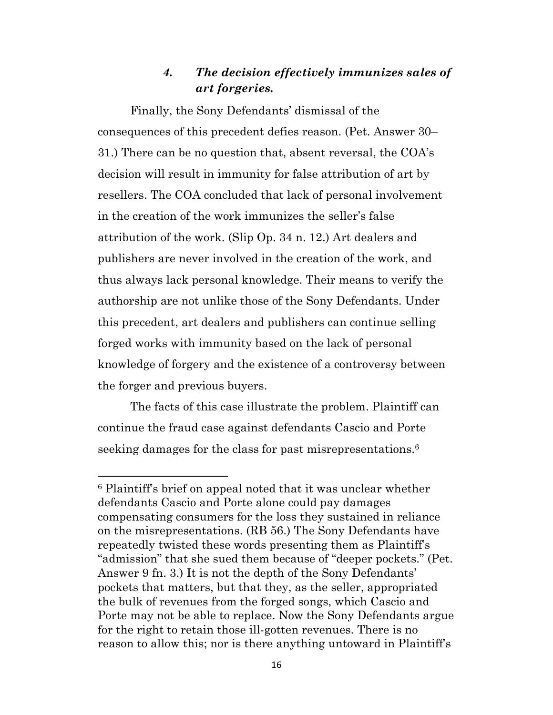#### *4. The decision effectively immunizes sales of art forgeries.*

Finally, the Sony Defendants' dismissal of the consequences of this precedent defies reason. (Pet. Answer 30– 31.) There can be no question that, absent reversal, the COA's decision will result in immunity for false attribution of art by resellers. The COA concluded that lack of personal involvement in the creation of the work immunizes the seller's false attribution of the work. (Slip Op. 34 n. 12.) Art dealers and publishers are never involved in the creation of the work, and thus always lack personal knowledge. Their means to verify the authorship are not unlike those of the Sony Defendants. Under this precedent, art dealers and publishers can continue selling forged works with immunity based on the lack of personal knowledge of forgery and the existence of a controversy between the forger and previous buyers.

The facts of this case illustrate the problem. Plaintiff can continue the fraud case against defendants Cascio and Porte seeking damages for the class for past misrepresentations.<sup>6</sup>

<sup>6</sup> Plaintiff's brief on appeal noted that it was unclear whether defendants Cascio and Porte alone could pay damages compensating consumers for the loss they sustained in reliance on the misrepresentations. (RB 56.) The Sony Defendants have repeatedly twisted these words presenting them as Plaintiff's "admission" that she sued them because of "deeper pockets." (Pet. Answer 9 fn. 3.) It is not the depth of the Sony Defendants' pockets that matters, but that they, as the seller, appropriated the bulk of revenues from the forged songs, which Cascio and Porte may not be able to replace. Now the Sony Defendants argue for the right to retain those ill-gotten revenues. There is no reason to allow this; nor is there anything untoward in Plaintiff's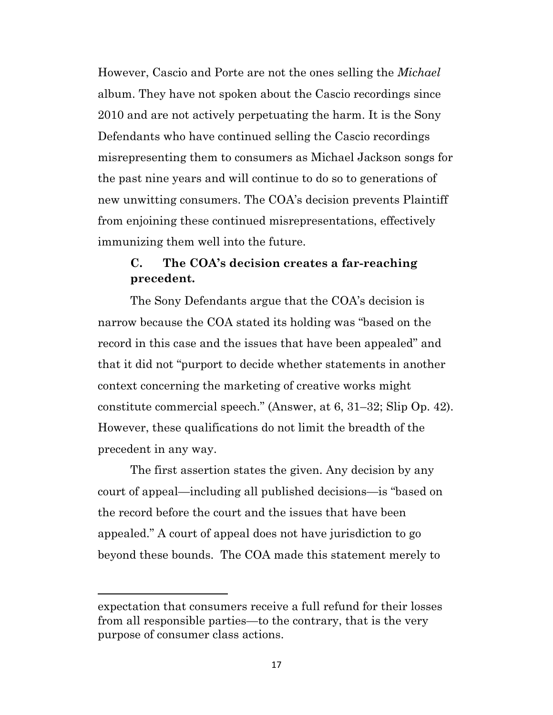However, Cascio and Porte are not the ones selling the *Michael* album. They have not spoken about the Cascio recordings since 2010 and are not actively perpetuating the harm. It is the Sony Defendants who have continued selling the Cascio recordings misrepresenting them to consumers as Michael Jackson songs for the past nine years and will continue to do so to generations of new unwitting consumers. The COA's decision prevents Plaintiff from enjoining these continued misrepresentations, effectively immunizing them well into the future.

### **C. The COA's decision creates a far-reaching precedent.**

The Sony Defendants argue that the COA's decision is narrow because the COA stated its holding was "based on the record in this case and the issues that have been appealed" and that it did not "purport to decide whether statements in another context concerning the marketing of creative works might constitute commercial speech." (Answer, at 6, 31–32; Slip Op. 42). However, these qualifications do not limit the breadth of the precedent in any way.

The first assertion states the given. Any decision by any court of appeal—including all published decisions—is "based on the record before the court and the issues that have been appealed." A court of appeal does not have jurisdiction to go beyond these bounds. The COA made this statement merely to

expectation that consumers receive a full refund for their losses from all responsible parties—to the contrary, that is the very purpose of consumer class actions.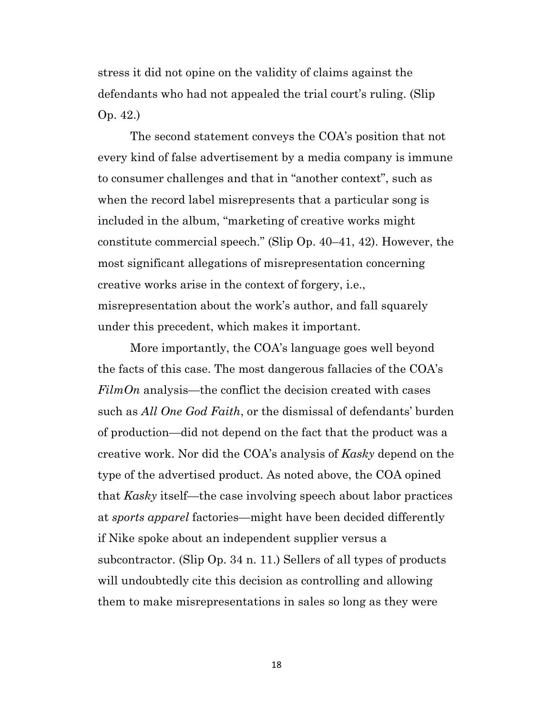stress it did not opine on the validity of claims against the defendants who had not appealed the trial court's ruling. (Slip Op. 42.)

The second statement conveys the COA's position that not every kind of false advertisement by a media company is immune to consumer challenges and that in "another context", such as when the record label misrepresents that a particular song is included in the album, "marketing of creative works might constitute commercial speech." (Slip Op. 40–41, 42). However, the most significant allegations of misrepresentation concerning creative works arise in the context of forgery, i.e., misrepresentation about the work's author, and fall squarely under this precedent, which makes it important.

More importantly, the COA's language goes well beyond the facts of this case. The most dangerous fallacies of the COA's *FilmOn* analysis—the conflict the decision created with cases such as *All One God Faith*, or the dismissal of defendants' burden of production—did not depend on the fact that the product was a creative work. Nor did the COA's analysis of *Kasky* depend on the type of the advertised product. As noted above, the COA opined that *Kasky* itself—the case involving speech about labor practices at *sports apparel* factories—might have been decided differently if Nike spoke about an independent supplier versus a subcontractor. (Slip Op. 34 n. 11.) Sellers of all types of products will undoubtedly cite this decision as controlling and allowing them to make misrepresentations in sales so long as they were

18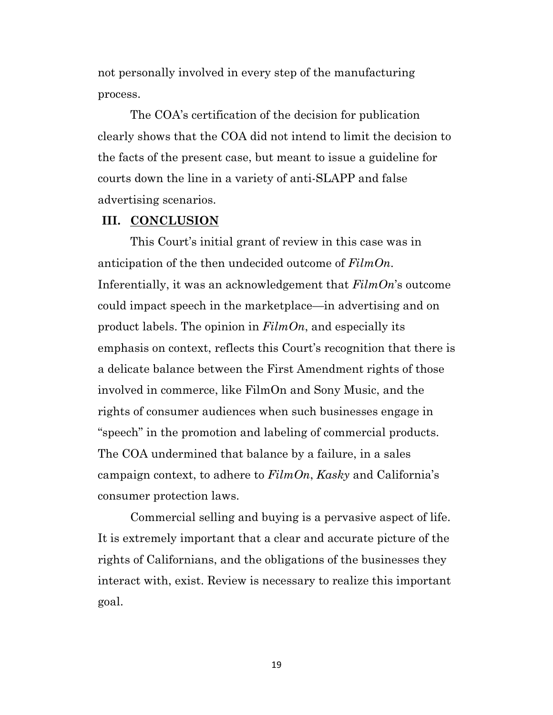not personally involved in every step of the manufacturing process.

The COA's certification of the decision for publication clearly shows that the COA did not intend to limit the decision to the facts of the present case, but meant to issue a guideline for courts down the line in a variety of anti-SLAPP and false advertising scenarios.

#### **III. CONCLUSION**

This Court's initial grant of review in this case was in anticipation of the then undecided outcome of *FilmOn*. Inferentially, it was an acknowledgement that *FilmOn*'s outcome could impact speech in the marketplace—in advertising and on product labels. The opinion in *FilmOn*, and especially its emphasis on context, reflects this Court's recognition that there is a delicate balance between the First Amendment rights of those involved in commerce, like FilmOn and Sony Music, and the rights of consumer audiences when such businesses engage in "speech" in the promotion and labeling of commercial products. The COA undermined that balance by a failure, in a sales campaign context, to adhere to *FilmOn*, *Kasky* and California's consumer protection laws.

Commercial selling and buying is a pervasive aspect of life. It is extremely important that a clear and accurate picture of the rights of Californians, and the obligations of the businesses they interact with, exist. Review is necessary to realize this important goal.

19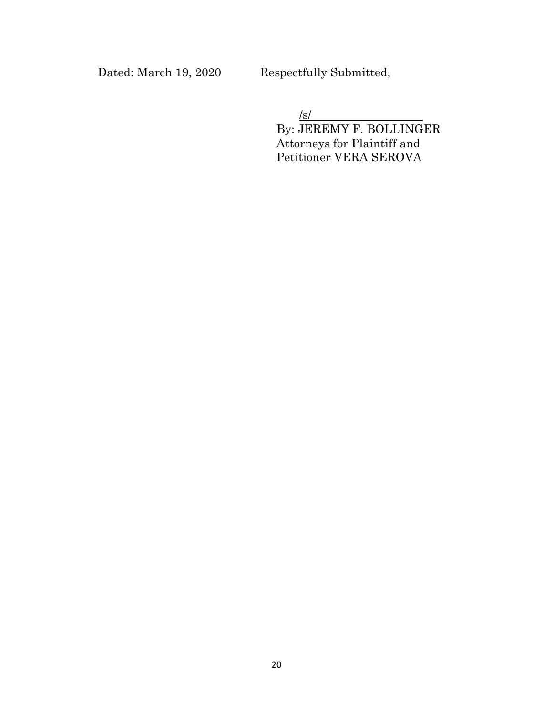Dated: March 19, 2020 Respectfully Submitted,

/s/

By: JEREMY F. BOLLINGER Attorneys for Plaintiff and Petitioner VERA SEROVA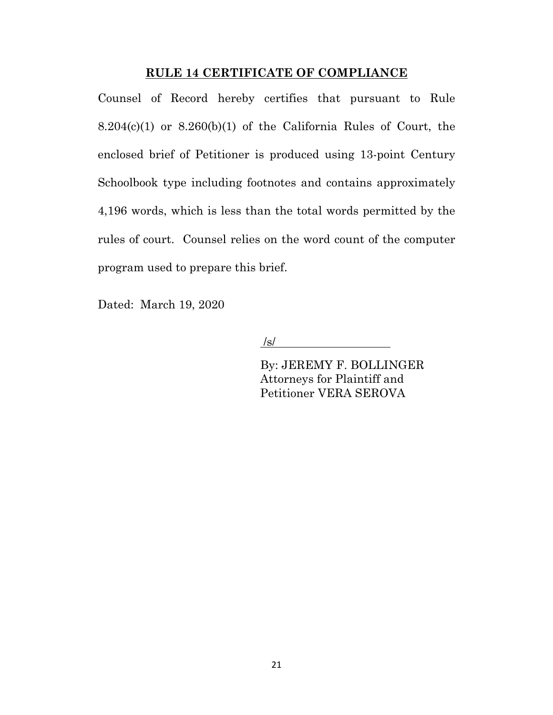#### **RULE 14 CERTIFICATE OF COMPLIANCE**

Counsel of Record hereby certifies that pursuant to Rule  $8.204(c)(1)$  or  $8.260(b)(1)$  of the California Rules of Court, the enclosed brief of Petitioner is produced using 13-point Century Schoolbook type including footnotes and contains approximately 4,196 words, which is less than the total words permitted by the rules of court. Counsel relies on the word count of the computer program used to prepare this brief.

Dated: March 19, 2020

 $\sqrt{s}$ /

By: JEREMY F. BOLLINGER Attorneys for Plaintiff and Petitioner VERA SEROVA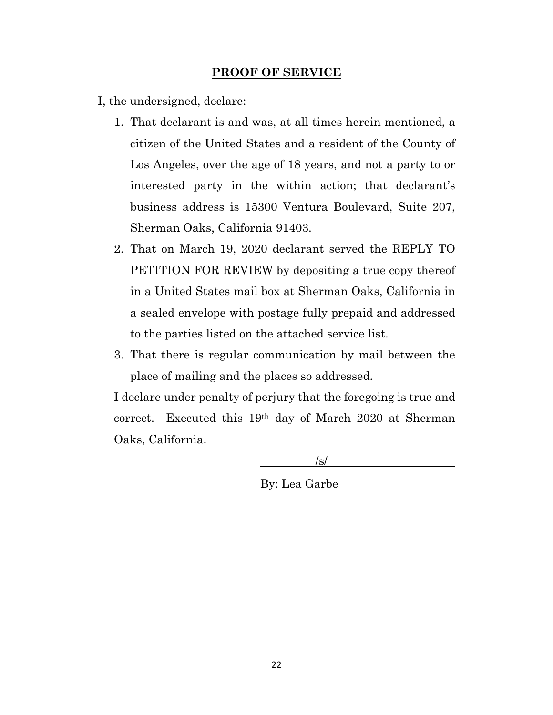#### **PROOF OF SERVICE**

I, the undersigned, declare:

- 1. That declarant is and was, at all times herein mentioned, a citizen of the United States and a resident of the County of Los Angeles, over the age of 18 years, and not a party to or interested party in the within action; that declarant's business address is 15300 Ventura Boulevard, Suite 207, Sherman Oaks, California 91403.
- 2. That on March 19, 2020 declarant served the REPLY TO PETITION FOR REVIEW by depositing a true copy thereof in a United States mail box at Sherman Oaks, California in a sealed envelope with postage fully prepaid and addressed to the parties listed on the attached service list.
- 3. That there is regular communication by mail between the place of mailing and the places so addressed.

I declare under penalty of perjury that the foregoing is true and correct. Executed this 19th day of March 2020 at Sherman Oaks, California.

/s/

By: Lea Garbe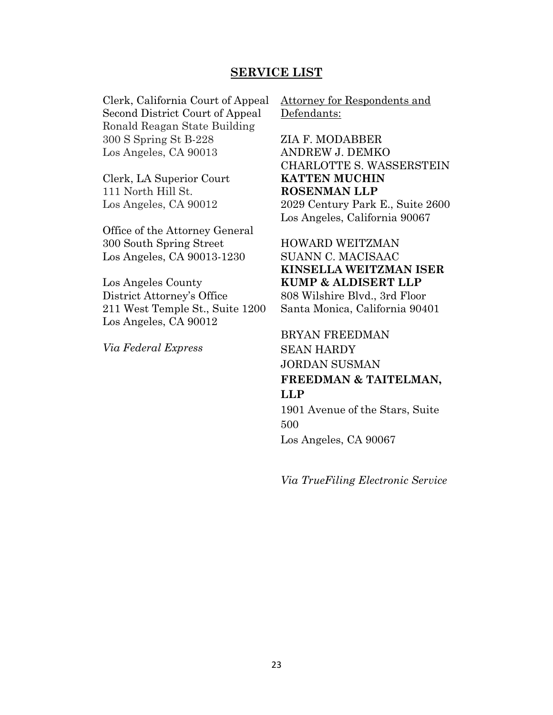#### **SERVICE LIST**

Clerk, California Court of Appeal Second District Court of Appeal Ronald Reagan State Building 300 S Spring St B-228 Los Angeles, CA 90013

Clerk, LA Superior Court 111 North Hill St. Los Angeles, CA 90012

• Office of the Attorney General • 300 South Spring Street • Los Angeles, CA 90013-1230

Los Angeles County District Attorney's Office 211 West Temple St., Suite 1200 Los Angeles, CA 90012

*Via Federal Express*

Attorney for Respondents and Defendants:

ZIA F. MODABBER ANDREW J. DEMKO CHARLOTTE S. WASSERSTEIN **KATTEN MUCHIN ROSENMAN LLP** 2029 Century Park E., Suite 2600 Los Angeles, California 90067

HOWARD WEITZMAN SUANN C. MACISAAC **KINSELLA WEITZMAN ISER KUMP & ALDISERT LLP** 808 Wilshire Blvd., 3rd Floor Santa Monica, California 90401

BRYAN FREEDMAN SEAN HARDY JORDAN SUSMAN **FREEDMAN & TAITELMAN, LLP**

1901 Avenue of the Stars, Suite 500 Los Angeles, CA 90067

*Via TrueFiling Electronic Service*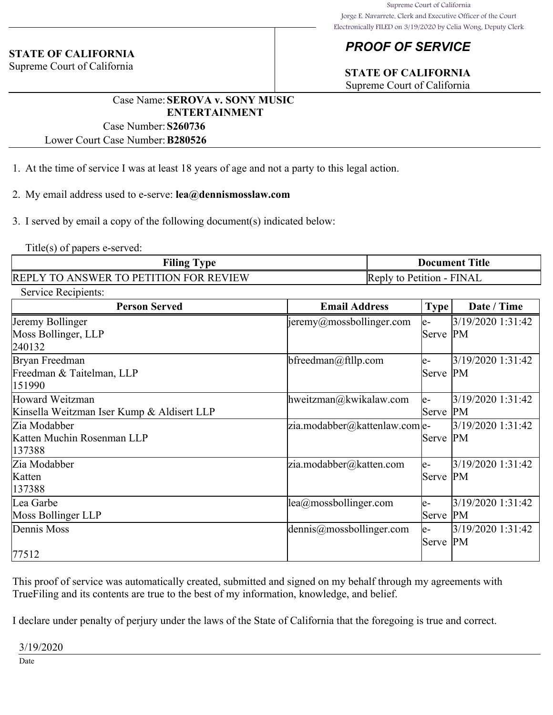#### **STATE OF CALIFORNIA**

Supreme Court of California

### *PROOF OF SERVICE*

## **STATE OF CALIFORNIA**

Supreme Court of California

#### Case Name:**SEROVA v. SONY MUSIC ENTERTAINMENT**

Case Number:**S260736**

Lower Court Case Number:**B280526**

- 1. At the time of service I was at least 18 years of age and not a party to this legal action.
- 2. My email address used to e-serve: **lea@dennismosslaw.com**
- 3. I served by email a copy of the following document(s) indicated below:

Title(s) of papers e-served:

| <b>Filing Type</b>                            | <b>Document Title</b>     |
|-----------------------------------------------|---------------------------|
| <b>REPLY TO ANSWER TO PETITION FOR REVIEW</b> | Reply to Petition - FINAL |

| Service Recipients:<br><b>Person Served</b> | <b>Email Address</b>             |          | Date / Time       |
|---------------------------------------------|----------------------------------|----------|-------------------|
|                                             |                                  | Type     |                   |
| Jeremy Bollinger                            | $\vert$ jeremy@mossbollinger.com | e-       | 3/19/2020 1:31:42 |
| Moss Bollinger, LLP                         |                                  | Serve PM |                   |
| 240132                                      |                                  |          |                   |
| Bryan Freedman                              | bfreedman@ftllp.com              | $e-$     | 3/19/2020 1:31:42 |
| Freedman & Taitelman, LLP                   |                                  | Serve PM |                   |
| 151990                                      |                                  |          |                   |
| Howard Weitzman                             | hweitzman@kwikalaw.com           | $e-$     | 3/19/2020 1:31:42 |
| Kinsella Weitzman Iser Kump & Aldisert LLP  |                                  | Serve PM |                   |
| Zia Modabber                                | zia.modabber@kattenlaw.com e-    |          | 3/19/2020 1:31:42 |
| Katten Muchin Rosenman LLP                  |                                  | Serve PM |                   |
| 137388                                      |                                  |          |                   |
| Zia Modabber                                | zia.modabber@katten.com          | le-      | 3/19/2020 1:31:42 |
| Katten                                      |                                  | Serve PM |                   |
| 137388                                      |                                  |          |                   |
| Lea Garbe                                   | lea@mossbollinger.com            | $e-$     | 3/19/2020 1:31:42 |
| Moss Bollinger LLP                          |                                  | Serve    | PM                |
| Dennis Moss                                 | $d$ ennis@mossbollinger.com      | $e-$     | 3/19/2020 1:31:42 |
|                                             |                                  | Serve PM |                   |
| 77512                                       |                                  |          |                   |

This proof of service was automatically created, submitted and signed on my behalf through my agreements with TrueFiling and its contents are true to the best of my information, knowledge, and belief.

I declare under penalty of perjury under the laws of the State of California that the foregoing is true and correct.

3/19/2020